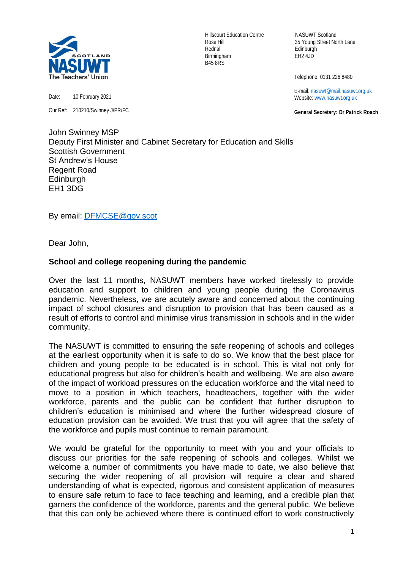

Date: 10 February 2021

Our Ref: 210210/Swinney J/PR/FC

Hillscourt Education Centre NASUWT Scotland Rednal Edinburgh Birmingham EH2 4JD B45 8RS

Rose Hill 35 Young Street North Lane

Telephone: 0131 226 8480

 E-mail[: nasuwt@mail.nasuwt.org.uk](mailto:nasuwt@mail.nasuwt.org.uk) Website: [www.nasuwt.org.uk](http://www.nasuwt.org.uk/)

 **General Secretary: Dr Patrick Roach**

John Swinney MSP Deputy First Minister and Cabinet Secretary for Education and Skills Scottish Government St Andrew's House Regent Road **Edinburgh** EH1 3DG

By email: [DFMCSE@gov.scot](mailto:DFMCSE@gov.scot)

Dear John,

## **School and college reopening during the pandemic**

Over the last 11 months, NASUWT members have worked tirelessly to provide education and support to children and young people during the Coronavirus pandemic. Nevertheless, we are acutely aware and concerned about the continuing impact of school closures and disruption to provision that has been caused as a result of efforts to control and minimise virus transmission in schools and in the wider community.

The NASUWT is committed to ensuring the safe reopening of schools and colleges at the earliest opportunity when it is safe to do so. We know that the best place for children and young people to be educated is in school. This is vital not only for educational progress but also for children's health and wellbeing. We are also aware of the impact of workload pressures on the education workforce and the vital need to move to a position in which teachers, headteachers, together with the wider workforce, parents and the public can be confident that further disruption to children's education is minimised and where the further widespread closure of education provision can be avoided. We trust that you will agree that the safety of the workforce and pupils must continue to remain paramount.

We would be grateful for the opportunity to meet with you and your officials to discuss our priorities for the safe reopening of schools and colleges. Whilst we welcome a number of commitments you have made to date, we also believe that securing the wider reopening of all provision will require a clear and shared understanding of what is expected, rigorous and consistent application of measures to ensure safe return to face to face teaching and learning, and a credible plan that garners the confidence of the workforce, parents and the general public. We believe that this can only be achieved where there is continued effort to work constructively